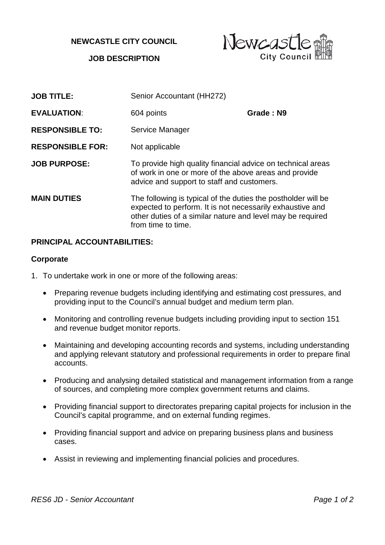**NEWCASTLE CITY COUNCIL**



**JOB DESCRIPTION**

| <b>JOB TITLE:</b>       | Senior Accountant (HH272)                                                                                                                                                                                      |           |
|-------------------------|----------------------------------------------------------------------------------------------------------------------------------------------------------------------------------------------------------------|-----------|
| <b>EVALUATION:</b>      | 604 points                                                                                                                                                                                                     | Grade: N9 |
| <b>RESPONSIBLE TO:</b>  | Service Manager                                                                                                                                                                                                |           |
| <b>RESPONSIBLE FOR:</b> | Not applicable                                                                                                                                                                                                 |           |
| <b>JOB PURPOSE:</b>     | To provide high quality financial advice on technical areas<br>of work in one or more of the above areas and provide<br>advice and support to staff and customers.                                             |           |
| <b>MAIN DUTIES</b>      | The following is typical of the duties the postholder will be<br>expected to perform. It is not necessarily exhaustive and<br>other duties of a similar nature and level may be required<br>from time to time. |           |

## **PRINCIPAL ACCOUNTABILITIES:**

## **Corporate**

1. To undertake work in one or more of the following areas:

- Preparing revenue budgets including identifying and estimating cost pressures, and providing input to the Council's annual budget and medium term plan.
- Monitoring and controlling revenue budgets including providing input to section 151 and revenue budget monitor reports.
- Maintaining and developing accounting records and systems, including understanding and applying relevant statutory and professional requirements in order to prepare final accounts.
- Producing and analysing detailed statistical and management information from a range of sources, and completing more complex government returns and claims.
- Providing financial support to directorates preparing capital projects for inclusion in the Council's capital programme, and on external funding regimes.
- Providing financial support and advice on preparing business plans and business cases.
- Assist in reviewing and implementing financial policies and procedures.